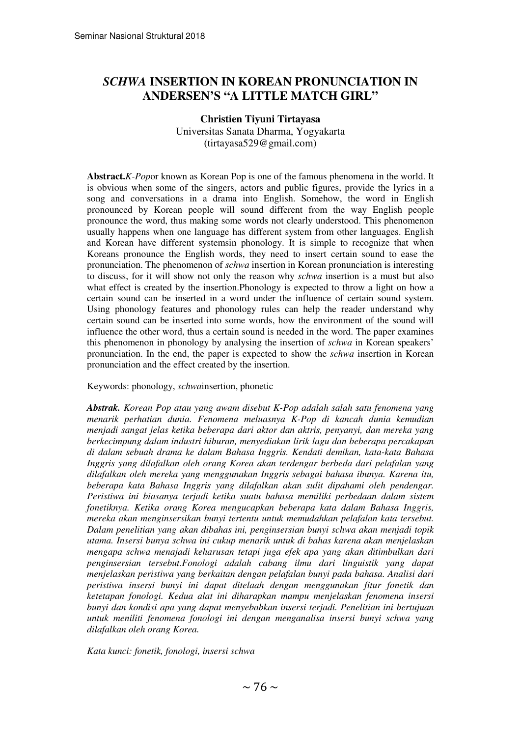# *SCHWA* **INSERTION IN KOREAN PRONUNCIATION IN ANDERSEN'S "A LITTLE MATCH GIRL"**

## **Christien Tiyuni Tirtayasa**

Universitas Sanata Dharma, Yogyakarta (tirtayasa529@gmail.com)

**Abstract.***K-Pop*or known as Korean Pop is one of the famous phenomena in the world. It is obvious when some of the singers, actors and public figures, provide the lyrics in a song and conversations in a drama into English. Somehow, the word in English pronounced by Korean people will sound different from the way English people pronounce the word, thus making some words not clearly understood. This phenomenon usually happens when one language has different system from other languages. English and Korean have different systemsin phonology. It is simple to recognize that when Koreans pronounce the English words, they need to insert certain sound to ease the pronunciation. The phenomenon of *schwa* insertion in Korean pronunciation is interesting to discuss, for it will show not only the reason why *schwa* insertion is a must but also what effect is created by the insertion.Phonology is expected to throw a light on how a certain sound can be inserted in a word under the influence of certain sound system. Using phonology features and phonology rules can help the reader understand why certain sound can be inserted into some words, how the environment of the sound will influence the other word, thus a certain sound is needed in the word. The paper examines this phenomenon in phonology by analysing the insertion of *schwa* in Korean speakers' pronunciation. In the end, the paper is expected to show the *schwa* insertion in Korean pronunciation and the effect created by the insertion.

Keywords: phonology, *schwa*insertion, phonetic

*Abstrak. Korean Pop atau yang awam disebut K-Pop adalah salah satu fenomena yang menarik perhatian dunia. Fenomena meluasnya K-Pop di kancah dunia kemudian menjadi sangat jelas ketika beberapa dari aktor dan aktris, penyanyi, dan mereka yang berkecimpung dalam industri hiburan, menyediakan lirik lagu dan beberapa percakapan di dalam sebuah drama ke dalam Bahasa Inggris. Kendati demikan, kata-kata Bahasa Inggris yang dilafalkan oleh orang Korea akan terdengar berbeda dari pelafalan yang dilafalkan oleh mereka yang menggunakan Inggris sebagai bahasa ibunya. Karena itu, beberapa kata Bahasa Inggris yang dilafalkan akan sulit dipahami oleh pendengar. Peristiwa ini biasanya terjadi ketika suatu bahasa memiliki perbedaan dalam sistem fonetiknya. Ketika orang Korea mengucapkan beberapa kata dalam Bahasa Inggris, mereka akan menginsersikan bunyi tertentu untuk memudahkan pelafalan kata tersebut. Dalam penelitian yang akan dibahas ini, penginsersian bunyi schwa akan menjadi topik utama. Insersi bunya schwa ini cukup menarik untuk di bahas karena akan menjelaskan mengapa schwa menajadi keharusan tetapi juga efek apa yang akan ditimbulkan dari penginsersian tersebut.Fonologi adalah cabang ilmu dari linguistik yang dapat menjelaskan peristiwa yang berkaitan dengan pelafalan bunyi pada bahasa. Analisi dari peristiwa insersi bunyi ini dapat ditelaah dengan menggunakan fitur fonetik dan ketetapan fonologi. Kedua alat ini diharapkan mampu menjelaskan fenomena insersi bunyi dan kondisi apa yang dapat menyebabkan insersi terjadi. Penelitian ini bertujuan untuk meniliti fenomena fonologi ini dengan menganalisa insersi bunyi schwa yang dilafalkan oleh orang Korea.* 

*Kata kunci: fonetik, fonologi, insersi schwa*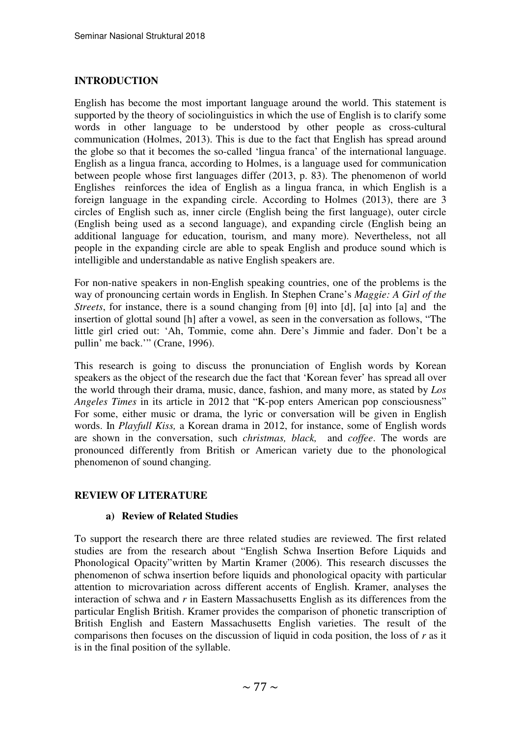## **INTRODUCTION**

English has become the most important language around the world. This statement is supported by the theory of sociolinguistics in which the use of English is to clarify some words in other language to be understood by other people as cross-cultural communication (Holmes, 2013). This is due to the fact that English has spread around the globe so that it becomes the so-called 'lingua franca' of the international language. English as a lingua franca, according to Holmes, is a language used for communication between people whose first languages differ (2013, p. 83). The phenomenon of world Englishes reinforces the idea of English as a lingua franca, in which English is a foreign language in the expanding circle. According to Holmes (2013), there are 3 circles of English such as, inner circle (English being the first language), outer circle (English being used as a second language), and expanding circle (English being an additional language for education, tourism, and many more). Nevertheless, not all people in the expanding circle are able to speak English and produce sound which is intelligible and understandable as native English speakers are.

For non-native speakers in non-English speaking countries, one of the problems is the way of pronouncing certain words in English. In Stephen Crane's *Maggie: A Girl of the Streets*, for instance, there is a sound changing from [θ] into [d], [ɑ] into [a] and the insertion of glottal sound [h] after a vowel, as seen in the conversation as follows, "The little girl cried out: 'Ah, Tommie, come ahn. Dere's Jimmie and fader. Don't be a pullin' me back.'" (Crane, 1996).

This research is going to discuss the pronunciation of English words by Korean speakers as the object of the research due the fact that 'Korean fever' has spread all over the world through their drama, music, dance, fashion, and many more, as stated by *Los Angeles Times* in its article in 2012 that "K-pop enters American pop consciousness" For some, either music or drama, the lyric or conversation will be given in English words. In *Playfull Kiss,* a Korean drama in 2012, for instance, some of English words are shown in the conversation, such *christmas, black,* and *coffee*. The words are pronounced differently from British or American variety due to the phonological phenomenon of sound changing.

## **REVIEW OF LITERATURE**

## **a) Review of Related Studies**

To support the research there are three related studies are reviewed. The first related studies are from the research about "English Schwa Insertion Before Liquids and Phonological Opacity"written by Martin Kramer (2006). This research discusses the phenomenon of schwa insertion before liquids and phonological opacity with particular attention to microvariation across different accents of English. Kramer, analyses the interaction of schwa and *r* in Eastern Massachusetts English as its differences from the particular English British. Kramer provides the comparison of phonetic transcription of British English and Eastern Massachusetts English varieties. The result of the comparisons then focuses on the discussion of liquid in coda position, the loss of *r* as it is in the final position of the syllable.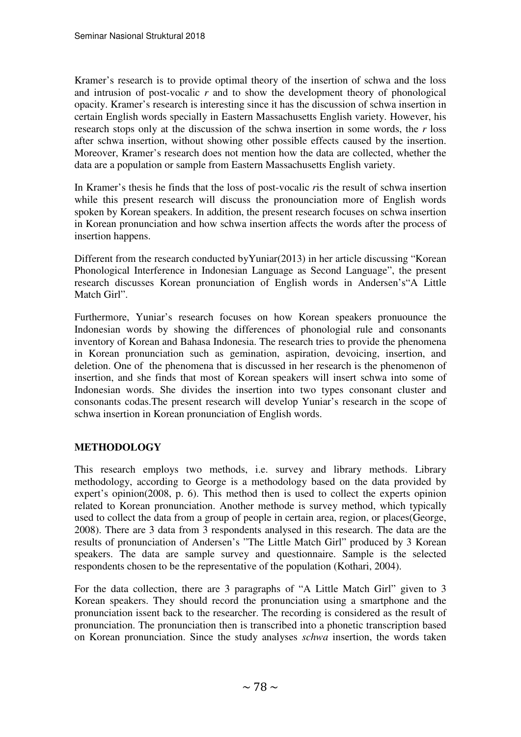Kramer's research is to provide optimal theory of the insertion of schwa and the loss and intrusion of post-vocalic *r* and to show the development theory of phonological opacity. Kramer's research is interesting since it has the discussion of schwa insertion in certain English words specially in Eastern Massachusetts English variety. However, his research stops only at the discussion of the schwa insertion in some words, the *r* loss after schwa insertion, without showing other possible effects caused by the insertion. Moreover, Kramer's research does not mention how the data are collected, whether the data are a population or sample from Eastern Massachusetts English variety.

In Kramer's thesis he finds that the loss of post-vocalic *r*is the result of schwa insertion while this present research will discuss the pronounciation more of English words spoken by Korean speakers. In addition, the present research focuses on schwa insertion in Korean pronunciation and how schwa insertion affects the words after the process of insertion happens.

Different from the research conducted byYuniar(2013) in her article discussing "Korean Phonological Interference in Indonesian Language as Second Language", the present research discusses Korean pronunciation of English words in Andersen's"A Little Match Girl".

Furthermore, Yuniar's research focuses on how Korean speakers pronuounce the Indonesian words by showing the differences of phonologial rule and consonants inventory of Korean and Bahasa Indonesia. The research tries to provide the phenomena in Korean pronunciation such as gemination, aspiration, devoicing, insertion, and deletion. One of the phenomena that is discussed in her research is the phenomenon of insertion, and she finds that most of Korean speakers will insert schwa into some of Indonesian words. She divides the insertion into two types consonant cluster and consonants codas.The present research will develop Yuniar's research in the scope of schwa insertion in Korean pronunciation of English words.

# **METHODOLOGY**

This research employs two methods, i.e. survey and library methods. Library methodology, according to George is a methodology based on the data provided by expert's opinion(2008, p. 6). This method then is used to collect the experts opinion related to Korean pronunciation. Another methode is survey method, which typically used to collect the data from a group of people in certain area, region, or places(George, 2008). There are 3 data from 3 respondents analysed in this research. The data are the results of pronunciation of Andersen's "The Little Match Girl" produced by 3 Korean speakers. The data are sample survey and questionnaire. Sample is the selected respondents chosen to be the representative of the population (Kothari, 2004).

For the data collection, there are 3 paragraphs of "A Little Match Girl" given to 3 Korean speakers. They should record the pronunciation using a smartphone and the pronunciation issent back to the researcher. The recording is considered as the result of pronunciation. The pronunciation then is transcribed into a phonetic transcription based on Korean pronunciation. Since the study analyses *schwa* insertion, the words taken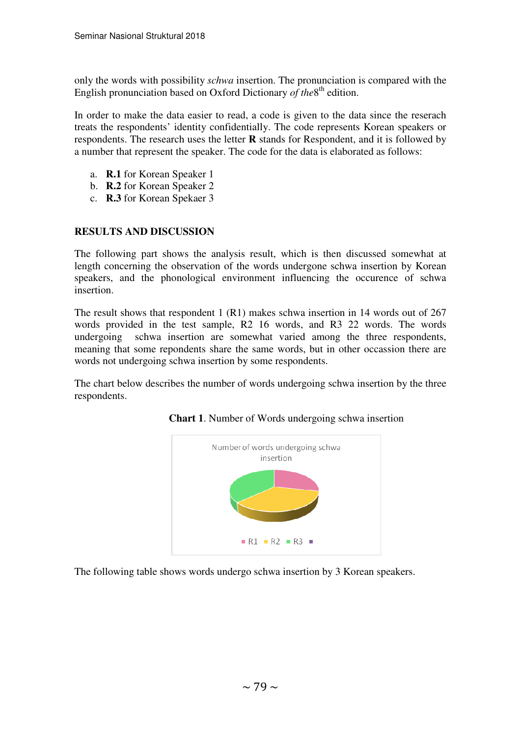only the words with possibility *schwa* insertion. The pronunciation is compared with the English pronunciation based on Oxford Dictionary of the<sup>8th</sup> edition.

In order to make the data easier to read, a code is given to the data since the reserach treats the respondents' identity confidentially. The code represents Korean speakers or respondents. The research uses the letter **R** stands for Respondent, and it is followed by a number that represent the speaker. The code for the data is elaborated as follows:

- a. **R.1** for Korean Speaker 1
- b. **R.2** for Korean Speaker 2
- c. **R.3** for Korean Spekaer 3

# **RESULTS AND DISCUSSION**

The following part shows the analysis result, which is then discussed somewhat at length concerning the observation of the words undergone schwa insertion by Korean speakers, and the phonological environment influencing the occurence of schwa insertion.

The result shows that respondent 1 (R1) makes schwa insertion in 14 words out of 267 words provided in the test sample, R2 16 words, and R3 22 words. The words undergoing schwa insertion are somewhat varied among the three respondents, meaning that some repondents share the same words, but in other occassion there are words not undergoing schwa insertion by some respondents.

The chart below describes the number of words undergoing schwa insertion by the three respondents.





The following table shows words undergo schwa insertion by 3 Korean speakers.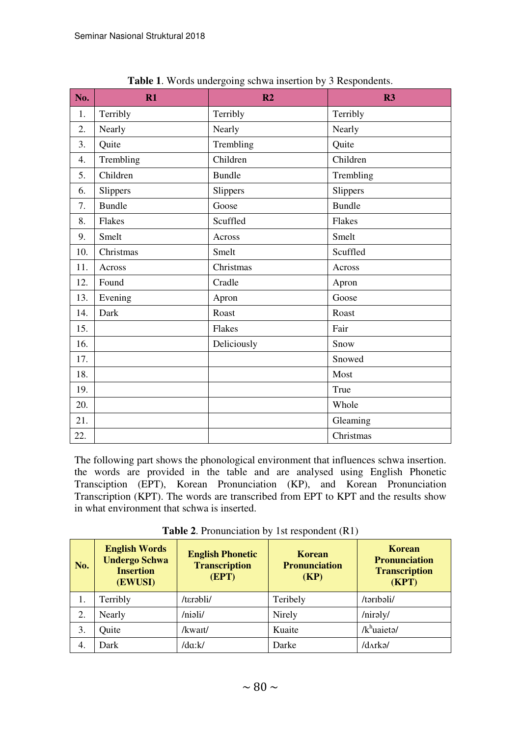| No. | R1            | R <sub>2</sub> | R3            |  |
|-----|---------------|----------------|---------------|--|
| 1.  | Terribly      | Terribly       | Terribly      |  |
| 2.  | Nearly        | Nearly         | Nearly        |  |
| 3.  | Quite         | Trembling      | Quite         |  |
| 4.  | Trembling     | Children       | Children      |  |
| 5.  | Children      | <b>Bundle</b>  | Trembling     |  |
| 6.  | Slippers      | Slippers       | Slippers      |  |
| 7.  | <b>Bundle</b> | Goose          | <b>Bundle</b> |  |
| 8.  | Flakes        | Scuffled       | Flakes        |  |
| 9.  | Smelt         | Across         | Smelt         |  |
| 10. | Christmas     | Smelt          | Scuffled      |  |
| 11. | Across        | Christmas      | Across        |  |
| 12. | Found         | Cradle         | Apron         |  |
| 13. | Evening       | Apron          | Goose         |  |
| 14. | Dark          | Roast          | Roast         |  |
| 15. |               | Flakes         | Fair          |  |
| 16. |               | Deliciously    | Snow          |  |
| 17. |               |                | Snowed        |  |
| 18. |               |                | Most          |  |
| 19. |               |                | True          |  |
| 20. |               |                | Whole         |  |
| 21. |               |                | Gleaming      |  |
| 22. |               |                | Christmas     |  |

**Table 1**. Words undergoing schwa insertion by 3 Respondents.

The following part shows the phonological environment that influences schwa insertion. the words are provided in the table and are analysed using English Phonetic Transciption (EPT), Korean Pronunciation (KP), and Korean Pronunciation Transcription (KPT). The words are transcribed from EPT to KPT and the results show in what environment that schwa is inserted.

| No. | <b>English Words</b><br><b>Undergo Schwa</b><br><b>Insertion</b><br>(EWUSI) | <b>English Phonetic</b><br><b>Transcription</b><br>(EPT) | Korean<br><b>Pronunciation</b><br>(KP) | <b>Korean</b><br><b>Pronunciation</b><br><b>Transcription</b><br>(KPT) |
|-----|-----------------------------------------------------------------------------|----------------------------------------------------------|----------------------------------------|------------------------------------------------------------------------|
| 1.  | Terribly                                                                    | /terabli/                                                | Teribely                               | /təribəli/                                                             |
| 2.  | Nearly                                                                      | /niali/                                                  | Nirely                                 | /niraly/                                                               |
| 3.  | Quite                                                                       | /kwait/                                                  | Kuaite                                 | $/k^h$ uaieta/                                                         |
| 4.  | Dark                                                                        | /da:k/                                                   | Darke                                  | /darkə/                                                                |

**Table 2**. Pronunciation by 1st respondent (R1)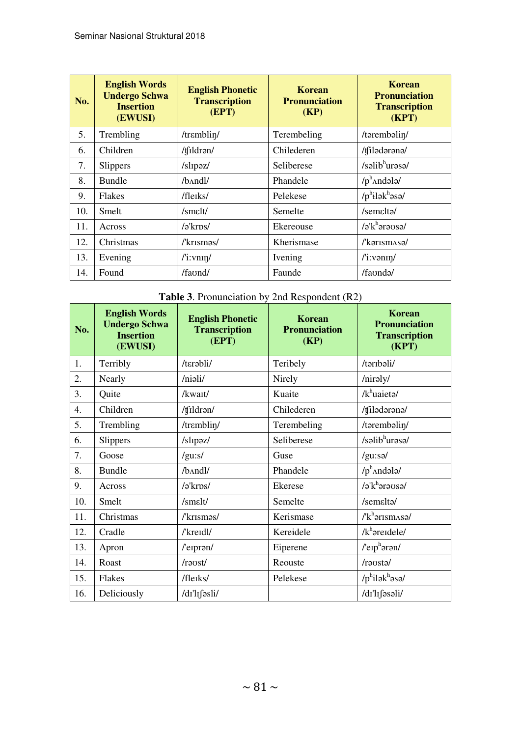| No. | <b>English Words</b><br><b>Undergo Schwa</b><br><b>Insertion</b><br>(EWUSI) | <b>English Phonetic</b><br><b>Transcription</b><br>(EPT) | Korean<br><b>Pronunciation</b><br>(KP) | Korean<br><b>Pronunciation</b><br><b>Transcription</b><br>(KPT) |
|-----|-----------------------------------------------------------------------------|----------------------------------------------------------|----------------------------------------|-----------------------------------------------------------------|
| 5.  | Trembling                                                                   | /trɛmblin/                                               | Terembeling                            | /tərembəlin/                                                    |
| 6.  | Children                                                                    | /tfildrən/                                               | Chilederen                             | /tfiladarana/                                                   |
| 7.  | <b>Slippers</b>                                                             | /slipəz/                                                 | Seliberese                             | $/s$ əlib $^{\rm h}$ urəsə/                                     |
| 8.  | <b>Bundle</b>                                                               | /b^ndl/                                                  | Phandele                               | $/p^h$ and all $\theta$                                         |
| 9.  | Flakes                                                                      | /fleiks/                                                 | Pelekese                               | $/p^h$ ilək $^h$ əsə/                                           |
| 10. | Smelt                                                                       | /smelt/                                                  | Semelte                                | /semalta/                                                       |
| 11. | Across                                                                      | /əˈkrps/                                                 | Ekereouse                              | $\sqrt{a^h}$ arausa/                                            |
| 12. | Christmas                                                                   | /'krisməs/                                               | Kherismase                             | /'karismAsa/                                                    |
| 13. | Evening                                                                     | $l'$ i: vnin $l$                                         | Ivening                                | $\frac{\text{r}}{\text{i}:}\text{venn}/\text{r}$                |
| 14. | Found                                                                       | /faond/                                                  | Faunde                                 | /faonda/                                                        |

# **Table 3**. Pronunciation by 2nd Respondent (R2)

| No. | <b>English Words</b><br><b>Undergo Schwa</b><br><b>Insertion</b><br>(EWUSI) | <b>English Phonetic</b><br><b>Transcription</b><br>(EPT)    | <b>Korean</b><br><b>Pronunciation</b><br>(KP) | <b>Korean</b><br><b>Pronunciation</b><br><b>Transcription</b><br>(KPT) |
|-----|-----------------------------------------------------------------------------|-------------------------------------------------------------|-----------------------------------------------|------------------------------------------------------------------------|
| 1.  | Terribly                                                                    | /tɛrəbli/                                                   | Teribely                                      | /təribəli/                                                             |
| 2.  | Nearly                                                                      | /niəli/                                                     | Nirely                                        | /niraly/                                                               |
| 3.  | Quite                                                                       | /kwait/                                                     | Kuaite                                        | $/k^h$ uaieta/                                                         |
| 4.  | Children                                                                    | /tfildrən/                                                  | Chilederen                                    | /tfiladarana/                                                          |
| 5.  | Trembling                                                                   | /trɛmblin/                                                  | Terembeling                                   | /tərembəlin/                                                           |
| 6.  | Slippers                                                                    | /slipaz/                                                    | Seliberese                                    | /səlib <sup>h</sup> urəsə/                                             |
| 7.  | Goose                                                                       | /gu:s/                                                      | Guse                                          | /gu:sa/                                                                |
| 8.  | <b>Bundle</b>                                                               | /b^ndl/                                                     | Phandele                                      | $/p^h$ Andələ/                                                         |
| 9.  | Across                                                                      | /ə'krps/                                                    | Ekerese                                       | $a'$ k <sup>h</sup> arausa/                                            |
| 10. | Smelt                                                                       | /smelt/                                                     | Semelte                                       | /semalta/                                                              |
| 11. | Christmas                                                                   | /'krismas/                                                  | Kerismase                                     | $I^{\prime}$ k <sup>h</sup> ərism $\Delta$ səl                         |
| 12. | Cradle                                                                      | /'kreidl/                                                   | Kereidele                                     | $/k^h$ <sub>areidele</sub> /                                           |
| 13. | Apron                                                                       | /'eipran/                                                   | Eiperene                                      | $l'eph$ ərən/                                                          |
| 14. | Roast                                                                       | /raust/                                                     | Reouste                                       | /rausta/                                                               |
| 15. | Flakes                                                                      | /fleiks/                                                    | Pelekese                                      | $/p^h$ ilək $^h$ əsə/                                                  |
| 16. | Deliciously                                                                 | $/dr$ <sup>'</sup> $l$ <sub>I</sub> $\int$ $\delta$ sli $/$ |                                               | /dɪ'lɪfəsəli/                                                          |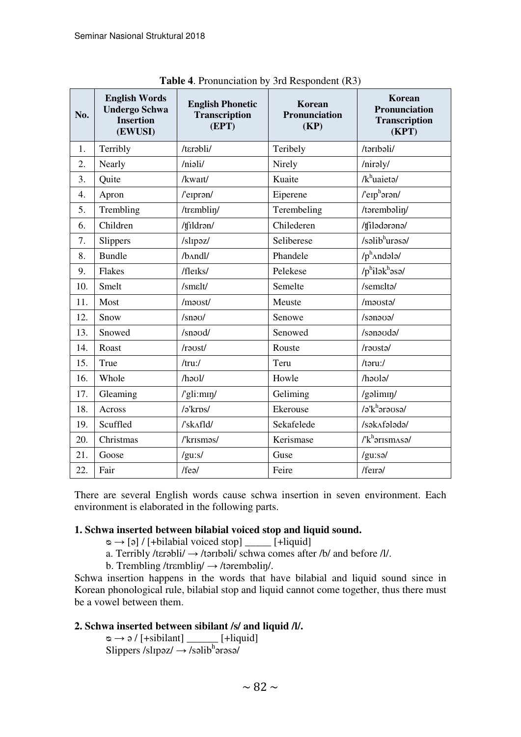| No. | <b>English Words</b><br><b>Undergo Schwa</b><br><b>Insertion</b><br>(EWUSI) | <b>English Phonetic</b><br><b>Transcription</b><br>(EPT) | <b>Korean</b><br>Pronunciation<br>(KP) | Korean<br>Pronunciation<br><b>Transcription</b><br>(KPT) |
|-----|-----------------------------------------------------------------------------|----------------------------------------------------------|----------------------------------------|----------------------------------------------------------|
| 1.  | Terribly                                                                    | /tɛrəbli/                                                | Teribely                               | /təribəli/                                               |
| 2.  | Nearly                                                                      | /niali/                                                  | Nirely                                 | /niraly/                                                 |
| 3.  | Quite                                                                       | /kwait/                                                  | Kuaite                                 | $/k^h$ uaieta/                                           |
| 4.  | Apron                                                                       | /'eipran/                                                | Eiperene                               | $l'$ erp $h$ ərən/                                       |
| 5.  | Trembling                                                                   | /trɛmblin/                                               | Terembeling                            | /tərembəlin/                                             |
| 6.  | Children                                                                    | /tfildran/                                               | Chilederen                             | /tfilodorono/                                            |
| 7.  | Slippers                                                                    | /slipaz/                                                 | Seliberese                             | /səlib <sup>h</sup> urəsə/                               |
| 8.  | <b>Bundle</b>                                                               | /b^ndl/                                                  | Phandele                               | $/p^h$ Andələ/                                           |
| 9.  | Flakes                                                                      | /fleiks/                                                 | Pelekese                               | $/p^h$ ilək $^h$ əsə/                                    |
| 10. | Smelt                                                                       | /smɛlt/                                                  | Semelte                                | /semalta/                                                |
| 11. | Most                                                                        | /maost/                                                  | Meuste                                 | /maosta/                                                 |
| 12. | Snow                                                                        | /snao/                                                   | Senowe                                 | /sənəvə/                                                 |
| 13. | Snowed                                                                      | /snood/                                                  | Senowed                                | /sənəvdə/                                                |
| 14. | Roast                                                                       | /raost/                                                  | Rouste                                 | /rausta/                                                 |
| 15. | True                                                                        | /tru:/                                                   | Teru                                   | /təru:/                                                  |
| 16. | Whole                                                                       | $/h$ <sup>201</sup> $/$                                  | Howle                                  | /haula/                                                  |
| 17. | Gleaming                                                                    | /'gli:mɪŋ/                                               | Geliming                               | /gəlimin/                                                |
| 18. | Across                                                                      | /ə'krps/                                                 | Ekerouse                               | $a^{\prime}$ k $^{\rm h}$ ərə $v$ sə/                    |
| 19. | Scuffled                                                                    | /'sk^fld/                                                | Sekafelede                             | /sək^fələdə/                                             |
| 20. | Christmas                                                                   | /'krismas/                                               | Kerismase                              | $I$ <sup>h</sup> arism $\Delta s$                        |
| 21. | Goose                                                                       | /gu:s/                                                   | Guse                                   | /gu:sə/                                                  |
| 22. | Fair                                                                        | /feə/                                                    | Feire                                  | /feira/                                                  |

**Table 4**. Pronunciation by 3rd Respondent (R3)

There are several English words cause schwa insertion in seven environment. Each environment is elaborated in the following parts.

## **1. Schwa inserted between bilabial voiced stop and liquid sound.**

- $\infty \rightarrow \lceil \varphi \rceil / [\text{+bilabial voiceed stop}]$  [+liquid]
- a. Terribly /terəbli/  $\rightarrow$  /təribəli/ schwa comes after /b/ and before /l/.
- b. Trembling /tr $emblin / \rightarrow$ /tərembəlin/.

Schwa insertion happens in the words that have bilabial and liquid sound since in Korean phonological rule, bilabial stop and liquid cannot come together, thus there must be a vowel between them.

## **2. Schwa inserted between sibilant /s/ and liquid /l/.**

 $\infty \rightarrow 9$  / [+sibilant] \_\_\_\_\_\_ [+liquid] Slippers /slipəz/  $\rightarrow$  /səlibhərəsə/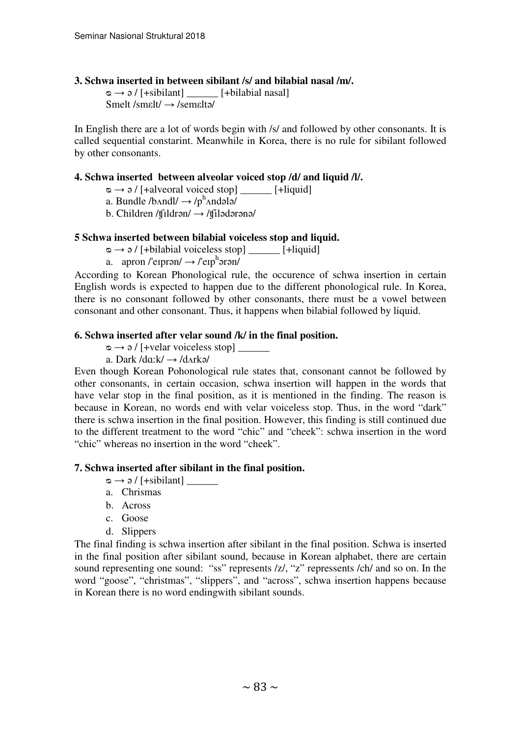## **3. Schwa inserted in between sibilant /s/ and bilabial nasal /m/.**

 $\infty \rightarrow \partial /$  [+sibilant] [+bilabial nasal] Smelt /smεlt/ → /semεltə/

In English there are a lot of words begin with /s/ and followed by other consonants. It is called sequential constarint. Meanwhile in Korea, there is no rule for sibilant followed by other consonants.

#### **4. Schwa inserted between alveolar voiced stop /d/ and liquid /l/.**

- $\infty \rightarrow \infty$  / [+alveoral voiced stop] [+liquid]
- a. Bundle /b $\land$ ndl/  $\rightarrow$  /p $^{\text{h}}$  $\land$ ndələ/
- b. Children /tfildrən $/ \rightarrow$ /tfilədərənə/

#### **5 Schwa inserted between bilabial voiceless stop and liquid.**

 $\infty \rightarrow \vartheta$  / [+bilabial voiceless stop] [+liquid]

a. apron /'eiprən/  $\rightarrow$  /'eip<sup>h</sup>ərən/

According to Korean Phonological rule, the occurence of schwa insertion in certain English words is expected to happen due to the different phonological rule. In Korea, there is no consonant followed by other consonants, there must be a vowel between consonant and other consonant. Thus, it happens when bilabial followed by liquid.

#### **6. Schwa inserted after velar sound /k/ in the final position.**

ᴓ → ə / [+velar voiceless stop] \_\_\_\_\_\_

a. Dark  $\text{da:} k \rightarrow \text{da:} k \rightarrow \text{d} k$ 

Even though Korean Pohonological rule states that, consonant cannot be followed by other consonants, in certain occasion, schwa insertion will happen in the words that have velar stop in the final position, as it is mentioned in the finding. The reason is because in Korean, no words end with velar voiceless stop. Thus, in the word "dark" there is schwa insertion in the final position. However, this finding is still continued due to the different treatment to the word "chic" and "cheek": schwa insertion in the word "chic" whereas no insertion in the word "cheek".

## **7. Schwa inserted after sibilant in the final position.**

- ᴓ → ə / [+sibilant] \_\_\_\_\_\_
- a. Chrismas
- b. Across
- c. Goose
- d. Slippers

The final finding is schwa insertion after sibilant in the final position. Schwa is inserted in the final position after sibilant sound, because in Korean alphabet, there are certain sound representing one sound: "ss" represents /z/, "z" repressents /ch/ and so on. In the word "goose", "christmas", "slippers", and "across", schwa insertion happens because in Korean there is no word endingwith sibilant sounds.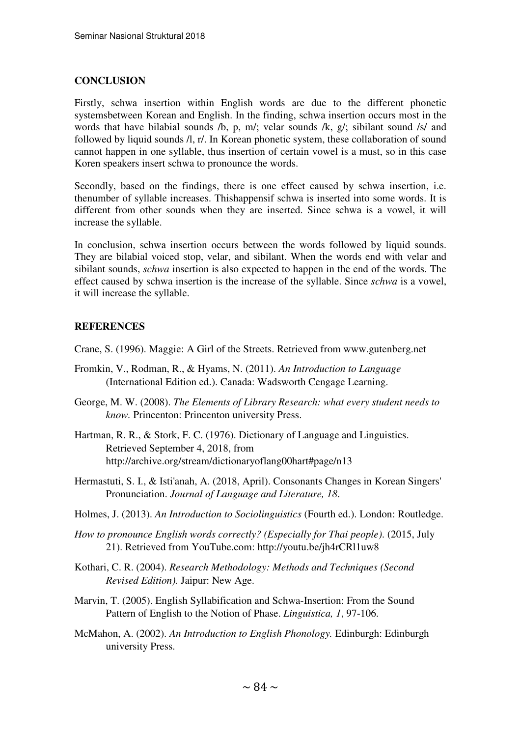## **CONCLUSION**

Firstly, schwa insertion within English words are due to the different phonetic systemsbetween Korean and English. In the finding, schwa insertion occurs most in the words that have bilabial sounds /b, p, m/; velar sounds /k, g/; sibilant sound /s/ and followed by liquid sounds /l, r/. In Korean phonetic system, these collaboration of sound cannot happen in one syllable, thus insertion of certain vowel is a must, so in this case Koren speakers insert schwa to pronounce the words.

Secondly, based on the findings, there is one effect caused by schwa insertion, i.e. thenumber of syllable increases. Thishappensif schwa is inserted into some words. It is different from other sounds when they are inserted. Since schwa is a vowel, it will increase the syllable.

In conclusion, schwa insertion occurs between the words followed by liquid sounds. They are bilabial voiced stop, velar, and sibilant. When the words end with velar and sibilant sounds, *schwa* insertion is also expected to happen in the end of the words. The effect caused by schwa insertion is the increase of the syllable. Since *schwa* is a vowel, it will increase the syllable.

## **REFERENCES**

Crane, S. (1996). Maggie: A Girl of the Streets. Retrieved from www.gutenberg.net

- Fromkin, V., Rodman, R., & Hyams, N. (2011). *An Introduction to Language* (International Edition ed.). Canada: Wadsworth Cengage Learning.
- George, M. W. (2008). *The Elements of Library Research: what every student needs to know.* Princenton: Princenton university Press.
- Hartman, R. R., & Stork, F. C. (1976). Dictionary of Language and Linguistics. Retrieved September 4, 2018, from http://archive.org/stream/dictionaryoflang00hart#page/n13
- Hermastuti, S. I., & Isti'anah, A. (2018, April). Consonants Changes in Korean Singers' Pronunciation. *Journal of Language and Literature, 18*.
- Holmes, J. (2013). *An Introduction to Sociolinguistics* (Fourth ed.). London: Routledge.
- *How to pronounce English words correctly? (Especially for Thai people)*. (2015, July 21). Retrieved from YouTube.com: http://youtu.be/jh4rCRl1uw8
- Kothari, C. R. (2004). *Research Methodology: Methods and Techniques (Second Revised Edition).* Jaipur: New Age.
- Marvin, T. (2005). English Syllabification and Schwa-Insertion: From the Sound Pattern of English to the Notion of Phase. *Linguistica, 1*, 97-106.
- McMahon, A. (2002). *An Introduction to English Phonology.* Edinburgh: Edinburgh university Press.